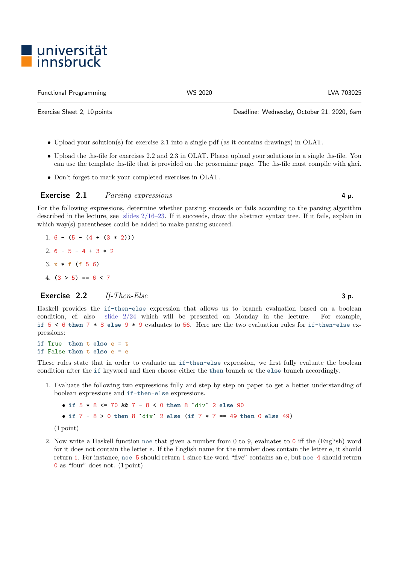# ■ universität<br>■ innsbruck

| <b>Functional Programming</b> | WS 2020 | LVA 703025 |
|-------------------------------|---------|------------|
|                               |         |            |

Exercise Sheet 2, 10 points Deadline: Wednesday, October 21, 2020, 6am

• Upload your solution(s) for exercise 2.1 into a single pdf (as it contains drawings) in OLAT.

- Upload the .hs-file for exercises 2.2 and 2.3 in OLAT. Please upload your solutions in a single .hs-file. You can use the template .hs-file that is provided on the proseminar page. The .hs-file must compile with ghci.
- Don't forget to mark your completed exercises in OLAT.

## Exercise 2.1 Parsing expressions 4 p.

For the following expressions, determine whether parsing succeeds or fails according to the parsing algorithm described in the lecture, see [slides 2/16–23.](http://cl-informatik.uibk.ac.at/teaching/ws20/fp/slides/02x1.pdf#page=16) If it succeeds, draw the abstract syntax tree. If it fails, explain in which way(s) parentheses could be added to make parsing succeed.

1. 6 -  $(5 - (4 + (3 * 2)))$ 2.  $6 - 5 - 4 + 3 * 2$ 3.  $x * f$  (f 5 6) 4.  $(3 > 5) == 6 < 7$ 

## **Exercise** 2.2 If-Then-Else  $\qquad \qquad$  3 p.

Haskell provides the if-then-else expression that allows us to branch evaluation based on a boolean condition, cf. also [slide 2/24](http://cl-informatik.uibk.ac.at/teaching/ws20/fp/slides/02x1.pdf#page=24) which will be presented on Monday in the lecture. For example, if  $5 < 6$  then  $7 * 8$  else  $9 * 9$  evaluates to 56. Here are the two evaluation rules for if-then-else expressions:

if True then  $t$  else  $e = t$ if False then  $t$  else  $e = e$ 

These rules state that in order to evaluate an if-then-else expression, we first fully evaluate the boolean condition after the if keyword and then choose either the then branch or the else branch accordingly.

1. Evaluate the following two expressions fully and step by step on paper to get a better understanding of boolean expressions and if-then-else expressions.

• if  $5 * 8 \le 70$  &&  $7 - 8 \le 0$  then  $8$  'div' 2 else 90 • if  $7 - 8 > 0$  then  $8$  'div' 2 else (if  $7 * 7 == 49$  then 0 else 49)

- (1 point)
- 2. Now write a Haskell function noe that given a number from 0 to 9, evaluates to 0 iff the (English) word for it does not contain the letter e. If the English name for the number does contain the letter e, it should return 1. For instance, noe 5 should return 1 since the word "five" contains an e, but noe 4 should return 0 as "four" does not. (1 point)